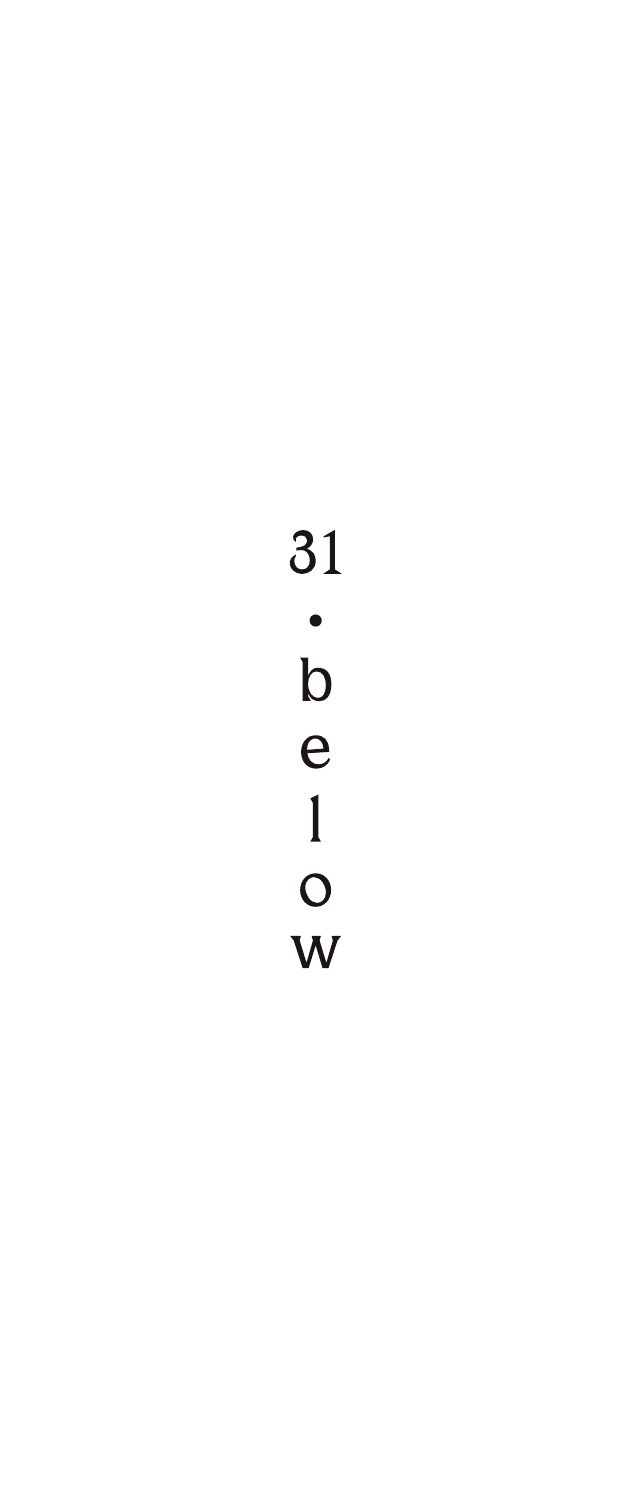# 31  $\frac{1}{b}$  $\begin{array}{c} 1 \\ 0 \\ W \end{array}$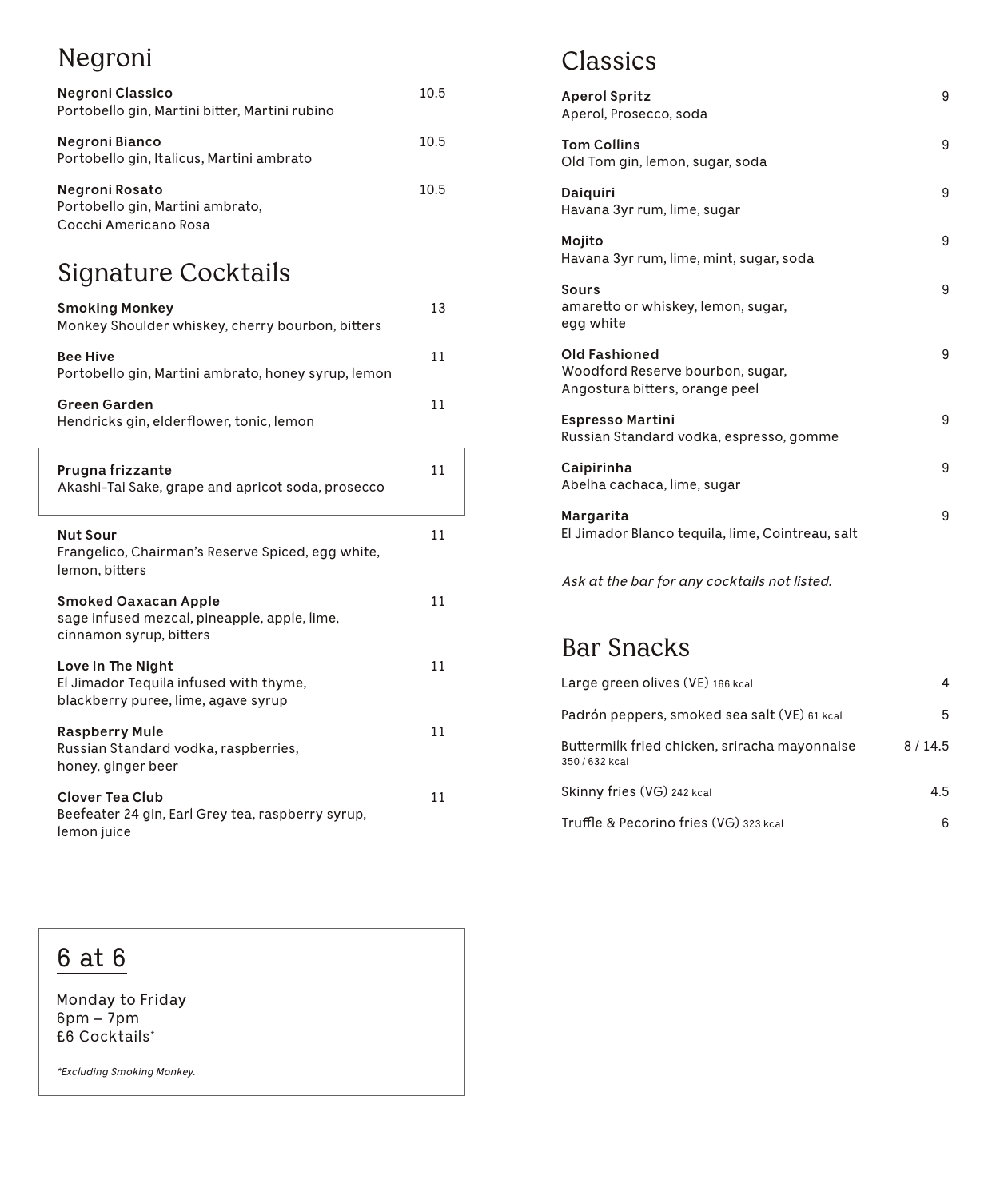# Negroni

| Negroni Classico<br>Portobello gin, Martini bitter, Martini rubino          | 10.5 |
|-----------------------------------------------------------------------------|------|
| Negroni Bianco<br>Portobello gin, Italicus, Martini ambrato                 | 10.5 |
| Negroni Rosato<br>Portobello gin, Martini ambrato,<br>Cocchi Americano Rosa | 10.5 |

# Signature Cocktails

| <b>Smoking Monkey</b><br>Monkey Shoulder whiskey, cherry bourbon, bitters                              | 13 |
|--------------------------------------------------------------------------------------------------------|----|
| <b>Bee Hive</b><br>Portobello gin, Martini ambrato, honey syrup, lemon                                 | 11 |
| <b>Green Garden</b><br>Hendricks gin, elderflower, tonic, lemon                                        | 11 |
| Prugna frizzante<br>Akashi-Tai Sake, grape and apricot soda, prosecco                                  | 11 |
| <b>Nut Sour</b><br>Frangelico, Chairman's Reserve Spiced, egg white,<br>lemon, bitters                 | 11 |
| <b>Smoked Oaxacan Apple</b><br>sage infused mezcal, pineapple, apple, lime,<br>cinnamon syrup, bitters | 11 |
| Love In The Night<br>El Jimador Tequila infused with thyme,<br>blackberry puree, lime, agave syrup     | 11 |
| <b>Raspberry Mule</b><br>Russian Standard vodka, raspberries,<br>honey, ginger beer                    | 11 |
| <b>Clover Tea Club</b><br>Beefeater 24 gin, Earl Grey tea, raspberry syrup,<br>lemon juice             | 11 |

# Classics

| <b>Aperol Spritz</b><br>Aperol, Prosecco, soda                                             | 9 |
|--------------------------------------------------------------------------------------------|---|
| <b>Tom Collins</b><br>Old Tom gin, lemon, sugar, soda                                      | 9 |
| Daiquiri<br>Havana 3yr rum, lime, sugar                                                    | 9 |
| Mojito<br>Havana 3yr rum, lime, mint, sugar, soda                                          | 9 |
| Sours<br>amaretto or whiskey, lemon, sugar,<br>egg white                                   | 9 |
| <b>Old Fashioned</b><br>Woodford Reserve bourbon, sugar,<br>Angostura bitters, orange peel | 9 |
| <b>Espresso Martini</b><br>Russian Standard vodka, espresso, gomme                         | 9 |
| Caipirinha<br>Abelha cachaca, lime, sugar                                                  | 9 |
| Margarita<br>El Jimador Blanco tequila, lime, Cointreau, salt                              | 9 |

*Ask at the bar for any cocktails not listed.*

### Bar Snacks

| Large green olives (VE) 166 kcal                                |        |
|-----------------------------------------------------------------|--------|
| Padrón peppers, smoked sea salt (VE) 61 kcal                    | 5      |
| Buttermilk fried chicken, sriracha mayonnaise<br>350 / 632 kcal | 8/14.5 |
| Skinny fries (VG) 242 kcal                                      | 4.5    |
| Truffle & Pecorino fries (VG) 323 kcal                          | հ      |

# 6 at 6

Monday to Friday  $6pm - 7pm$ £6 Cocktails\*

*\*Excluding Smoking Monkey.*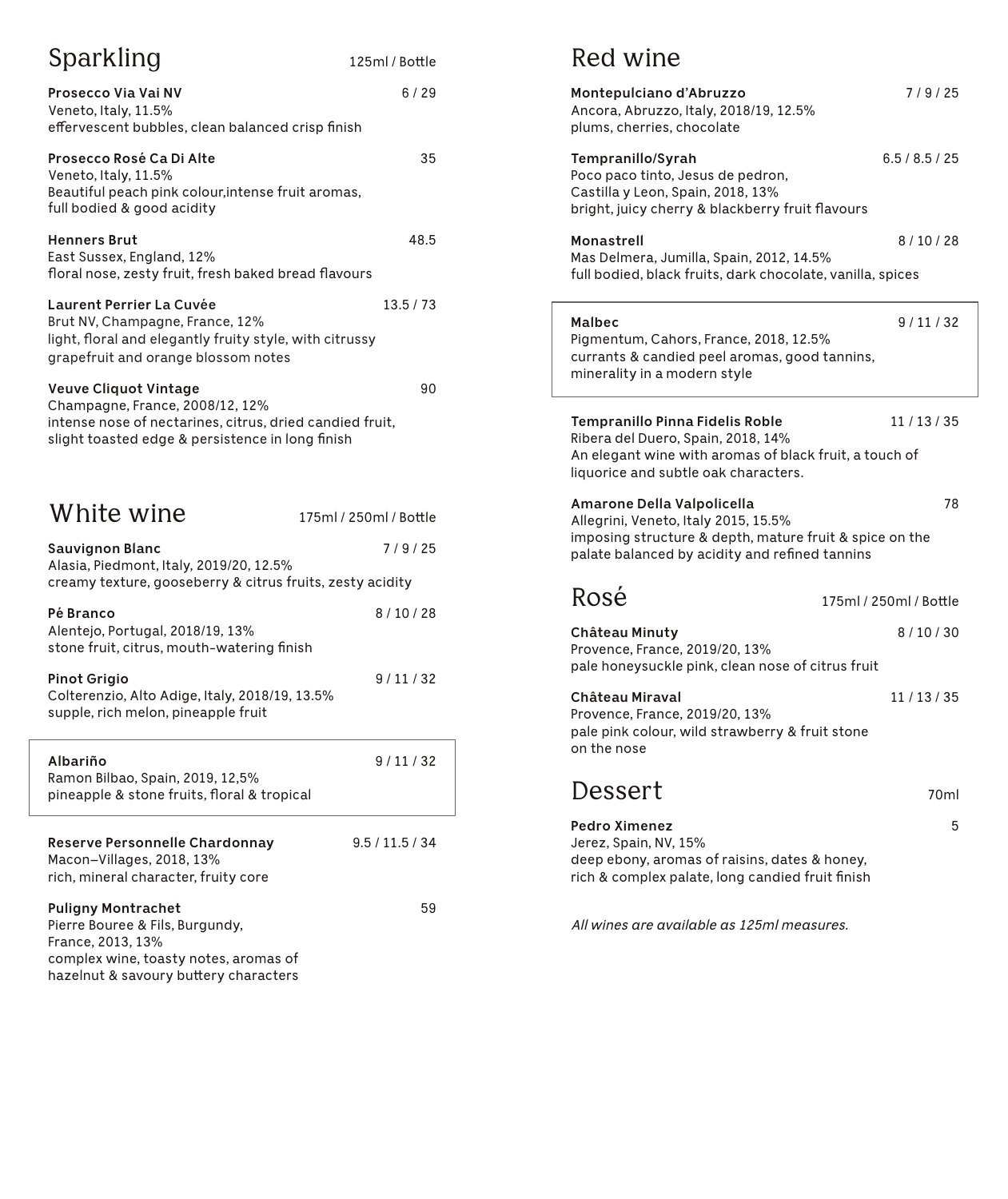| Sparkling                                                                                                                                                                | 125ml / Bottle         |
|--------------------------------------------------------------------------------------------------------------------------------------------------------------------------|------------------------|
| Prosecco Via Vai NV<br>Veneto, Italy, 11.5%<br>effervescent bubbles, clean balanced crisp finish                                                                         | 6 / 29                 |
| Prosecco Rosé Ca Di Alte<br>Veneto, Italy, 11.5%<br>Beautiful peach pink colour, intense fruit aromas,<br>full bodied & good acidity                                     | 35                     |
| <b>Henners Brut</b><br>East Sussex, England, 12%<br>floral nose, zesty fruit, fresh baked bread flavours                                                                 | 48.5                   |
| <b>Laurent Perrier La Cuvée</b><br>Brut NV, Champagne, France, 12%<br>light, floral and elegantly fruity style, with citrussy<br>grapefruit and orange blossom notes     | 13.5/73                |
| Veuve Cliquot Vintage<br>Champagne, France, 2008/12, 12%<br>intense nose of nectarines, citrus, dried candied fruit,<br>slight toasted edge & persistence in long finish | 90                     |
| White wine                                                                                                                                                               | 175ml / 250ml / Bottle |
| <b>Sauvignon Blanc</b><br>Alasia, Piedmont, Italy, 2019/20, 12.5%<br>creamy texture, gooseberry & citrus fruits, zesty acidity                                           | 7/9/25                 |
| Pé Branco<br>Alentejo, Portugal, 2018/19, 13%<br>stone fruit, citrus, mouth-watering finish                                                                              | 8/10/28                |
| Pinot Grigio<br>Colterenzio, Alto Adige, Italy, 2018/19, 13.5%<br>supple, rich melon, pineapple fruit                                                                    | 9/11/32                |
| Albariño<br>Ramon Bilbao, Spain, 2019, 12,5%<br>pineapple & stone fruits, floral & tropical                                                                              | 9/11/32                |
| <b>Reserve Personnelle Chardonnay</b><br>Macon-Villages, 2018, 13%<br>rich, mineral character, fruity core                                                               | 9.5 / 11.5 / 34        |
| <b>Puligny Montrachet</b><br>Pierre Bouree & Fils, Burgundy,<br>France, 2013, 13%<br>complex wine, toasty notes, aromas of<br>hazelnut & savoury buttery characters      | 59                     |

#### Red wine

| Montepulciano d'Abruzzo<br>Ancora, Abruzzo, Italy, 2018/19, 12.5%<br>plums, cherries, chocolate                                                                                 | 7/9/25                 |
|---------------------------------------------------------------------------------------------------------------------------------------------------------------------------------|------------------------|
| Tempranillo/Syrah<br>Poco paco tinto, Jesus de pedron,<br>Castilla y Leon, Spain, 2018, 13%<br>bright, juicy cherry & blackberry fruit flavours                                 | 6.5/8.5/25             |
| Monastrell<br>Mas Delmera, Jumilla, Spain, 2012, 14.5%<br>full bodied, black fruits, dark chocolate, vanilla, spices                                                            | 8/10/28                |
| Malbec<br>Pigmentum, Cahors, France, 2018, 12.5%<br>currants & candied peel aromas, good tannins,<br>minerality in a modern style                                               | 9/11/32                |
| Tempranillo Pinna Fidelis Roble<br>Ribera del Duero, Spain, 2018, 14%<br>An elegant wine with aromas of black fruit, a touch of<br>liquorice and subtle oak characters.         | 11/13/35               |
| Amarone Della Valpolicella<br>Allegrini, Veneto, Italy 2015, 15.5%<br>imposing structure & depth, mature fruit & spice on the<br>palate balanced by acidity and refined tannins | 78                     |
| Rosé                                                                                                                                                                            | 175ml / 250ml / Bottle |
| Château Minuty<br>Provence, France, 2019/20, 13%<br>pale honeysuckle pink, clean nose of citrus fruit                                                                           | 8/10/30                |
| Château Miraval<br>Provence, France, 2019/20, 13%<br>pale pink colour, wild strawberry & fruit stone<br>on the nose                                                             | 11/13/35               |
| Dessert                                                                                                                                                                         | 70ml                   |
| Pedro Ximenez<br>Jerez, Spain, NV, 15%<br>deep ebony, aromas of raisins, dates & honey,<br>rich & complex palate, long candied fruit finish                                     | 5                      |
| All wines are available as 125ml measures.                                                                                                                                      |                        |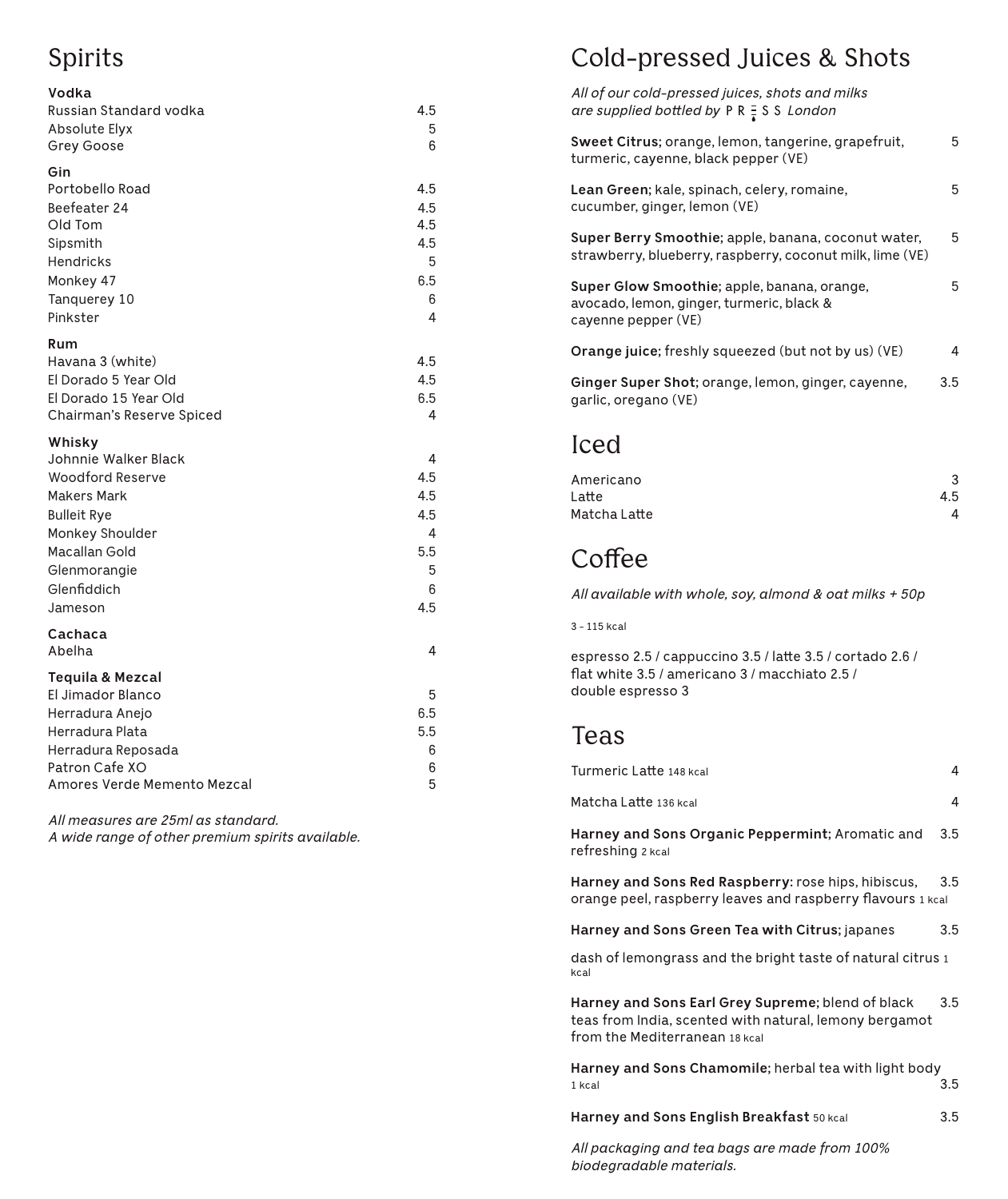# Spirits

| Vodka                                                   |               |
|---------------------------------------------------------|---------------|
| Russian Standard vodka                                  | 4.5           |
| Absolute Elyx                                           | 5             |
| Grey Goose                                              | 6             |
| Gin                                                     |               |
| Portobello Road                                         | 4.5           |
| Beefeater 24<br>Old Tom                                 | 4.5<br>4.5    |
| Sipsmith                                                | 4.5           |
| Hendricks                                               | 5             |
| Monkey 47                                               | 6.5           |
| Tanquerey 10                                            | 6             |
| Pinkster                                                | 4             |
| Rum                                                     |               |
| Havana 3 (white)                                        | 4.5           |
| El Dorado 5 Year Old                                    | 4.5           |
| El Dorado 15 Year Old                                   | 6.5           |
| Chairman's Reserve Spiced                               | 4             |
| Whisky                                                  |               |
| Johnnie Walker Black                                    | 4             |
| <b>Woodford Reserve</b>                                 | 4.5           |
| <b>Makers Mark</b><br><b>Bulleit Rye</b>                | 4.5<br>4.5    |
| Monkey Shoulder                                         | 4             |
| Macallan Gold                                           | 5.5           |
| Glenmorangie                                            | 5             |
| Glenfiddich                                             | 6             |
| Jameson                                                 | 4.5           |
| Cachaca                                                 |               |
| Abelha                                                  | 4             |
| <b>Tequila &amp; Mezcal</b>                             |               |
| El Jimador Blanco                                       | 5             |
| Herradura Anejo                                         | 6.5           |
|                                                         |               |
|                                                         |               |
| Amores Verde Memento Mezcal                             | 5             |
| Herradura Plata<br>Herradura Reposada<br>Patron Cafe XO | 5.5<br>6<br>6 |

*All measures are 25ml as standard.* 

*A wide range of other premium spirits available.*

### Cold-pressed Juices & Shots

| All of our cold-pressed juices, shots and milks<br>are supplied bottled by $P R = S S$ London                    |     |
|------------------------------------------------------------------------------------------------------------------|-----|
| Sweet Citrus; orange, lemon, tangerine, grapefruit,<br>turmeric, cayenne, black pepper (VE)                      | 5   |
| Lean Green; kale, spinach, celery, romaine,<br>cucumber, ginger, lemon (VE)                                      | 5   |
| Super Berry Smoothie; apple, banana, coconut water,<br>strawberry, blueberry, raspberry, coconut milk, lime (VE) | 5   |
| Super Glow Smoothie; apple, banana, orange,<br>avocado, lemon, ginger, turmeric, black &<br>cayenne pepper (VE)  | 5   |
| <b>Orange juice;</b> freshly squeezed (but not by us) (VE)                                                       | 4   |
| Ginger Super Shot; orange, lemon, ginger, cayenne,<br>garlic, oregano (VE)                                       | 3.5 |
| اصصا                                                                                                             |     |

#### Iced

| Americano    | 3   |
|--------------|-----|
| Latte        | 4.5 |
| Matcha Latte | 4   |

# **Coffee**

*All available with whole, soy, almond & oat milks + 50p*

3 - 115 kcal

espresso 2.5 / cappuccino 3.5 / latte 3.5 / cortado 2.6 / flat white 3.5 / americano 3 / macchiato 2.5 / double espresso 3

#### Teas

| Turmeric Latte 148 kcal                                                                                                                       | 4   |
|-----------------------------------------------------------------------------------------------------------------------------------------------|-----|
| Matcha Latte 136 kcal                                                                                                                         | 4   |
| Harney and Sons Organic Peppermint; Aromatic and<br>refreshing 2 kcal                                                                         | 3.5 |
| Harney and Sons Red Raspberry: rose hips, hibiscus,<br>orange peel, raspberry leaves and raspberry flavours 1 kcal                            | 3.5 |
| Harney and Sons Green Tea with Citrus; japanes                                                                                                | 3.5 |
| dash of lemongrass and the bright taste of natural citrus 1<br>kcal                                                                           |     |
| Harney and Sons Earl Grey Supreme; blend of black<br>teas from India, scented with natural, lemony bergamot<br>from the Mediterranean 18 kcal | 3.5 |
| Harney and Sons Chamomile; herbal tea with light body<br>1 kcal                                                                               | 3.5 |

**Harney and Sons English Breakfast** 50 kcal 3.5

*All packaging and tea bags are made from 100% biodegradable materials.*